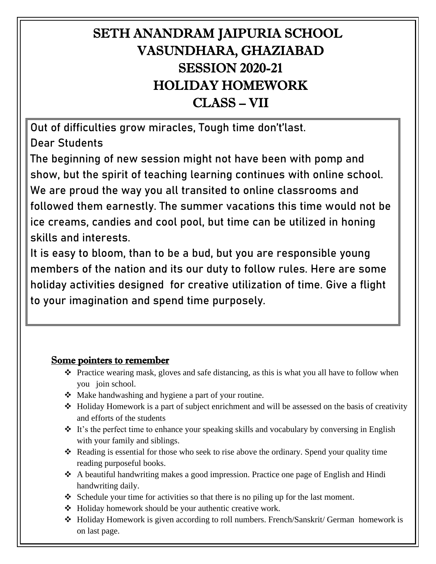# SETH ANANDRAM JAIPURIA SCHOOL VASUNDHARA, GHAZIABAD SESSION 2020-21 HOLIDAY HOMEWORK CLASS – VII

Out of difficulties grow miracles, Tough time don't'last. Dear Students

The beginning of new session might not have been with pomp and show, but the spirit of teaching learning continues with online school. We are proud the way you all transited to online classrooms and followed them earnestly. The summer vacations this time would not be ice creams, candies and cool pool, but time can be utilized in honing skills and interests.

It is easy to bloom, than to be a bud, but you are responsible young members of the nation and its our duty to follow rules. Here are some holiday activities designed for creative utilization of time. Give a flight to your imagination and spend time purposely.

#### Some pointers to remember

- ❖ Practice wearing mask, gloves and safe distancing, as this is what you all have to follow when you join school.
- ❖ Make handwashing and hygiene a part of your routine.
- ❖ Holiday Homework is a part of subject enrichment and will be assessed on the basis of creativity and efforts of the students
- ❖ It's the perfect time to enhance your speaking skills and vocabulary by conversing in English with your family and siblings.
- ❖ Reading is essential for those who seek to rise above the ordinary. Spend your quality time reading purposeful books.
- ❖ A beautiful handwriting makes a good impression. Practice one page of English and Hindi handwriting daily.
- ❖ Schedule your time for activities so that there is no piling up for the last moment.
- ❖ Holiday homework should be your authentic creative work.
- ❖ Holiday Homework is given according to roll numbers. French/Sanskrit/ German homework is on last page.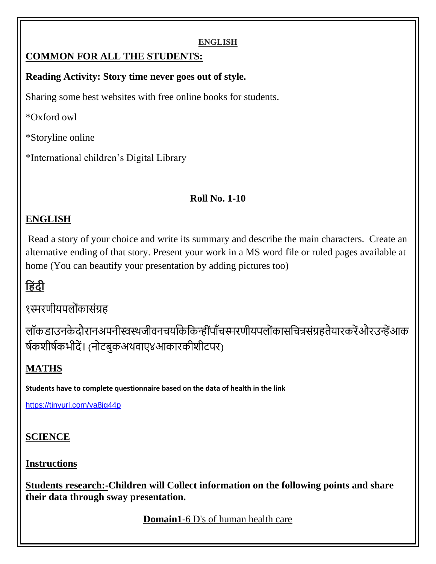#### **ENGLISH**

### **COMMON FOR ALL THE STUDENTS:**

#### **Reading Activity: Story time never goes out of style.**

Sharing some best websites with free online books for students.

\*Oxford owl

\*Storyline online

\*International children's Digital Library

### **Roll No. 1-10**

### **ENGLISH**

Read a story of your choice and write its summary and describe the main characters. Create an alternative ending of that story. Present your work in a MS word file or ruled pages available at home (You can beautify your presentation by adding pictures too)

# **ह िंदी**

१स्मरणीयपलोंकासंग्रह

लॉकडाउनके दौरानअपनीस्वस्थजीवनचर्याकेकिन्हींपाँचस्मरणीयपलोंकासचित्रसंग्रहतैयारकरेंऔरउन्हेंआक र्षकशीर्षकभीदें। (नोटबुकअथवाए४आकारकीशीटपर)

## **MATHS**

**Students have to complete questionnaire based on the data of health in the link**

<https://tinyurl.com/ya8jq44p>

### **SCIENCE**

### **Instructions**

**Students research:-Children will Collect information on the following points and share their data through sway presentation.**

**Domain1**-6 D's of human health care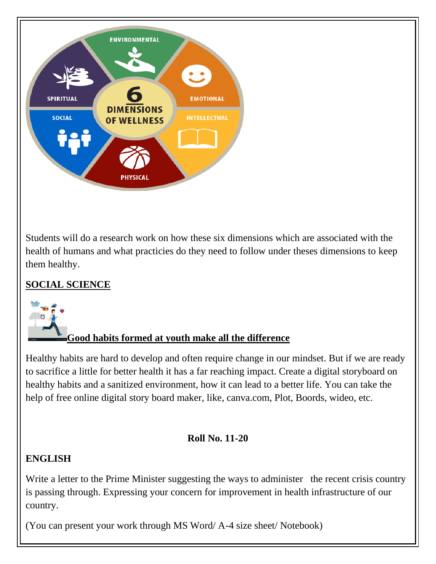

Students will do a research work on how these six dimensions which are associated with the health of humans and what practicies do they need to follow under theses dimensions to keep them healthy.

### **SOCIAL SCIENCE**



## **Good habits formed at youth make all the difference**

Healthy habits are hard to develop and often require change in our mindset. But if we are ready to sacrifice a little for better health it has a far reaching impact. Create a digital storyboard on healthy habits and a sanitized environment, how it can lead to a better life. You can take the help of free online digital story board maker, like, canva.com, Plot, Boords, wideo, etc.

### **Roll No. 11-20**

### **ENGLISH**

Write a letter to the Prime Minister suggesting the ways to administer the recent crisis country is passing through. Expressing your concern for improvement in health infrastructure of our country.

(You can present your work through MS Word/ A-4 size sheet/ Notebook)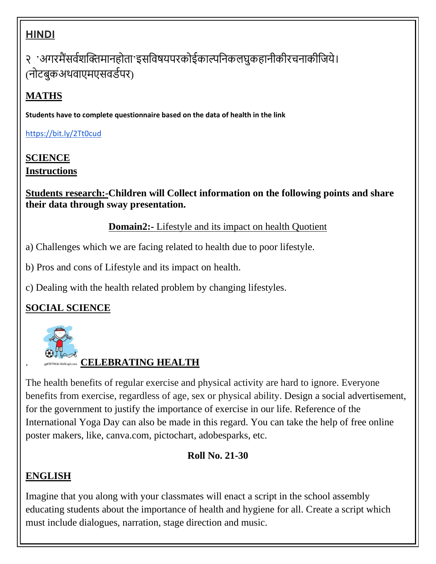# **HINDI**

२ 'अगरमैंसर्वशक्तिमानहोता'इसविषयपरकोईकाल्पनिकलघुकहानीकीरचनाकीजिये। (नोटबुकअथवाएमएसवर्डपर)

# **MATHS**

**Students have to complete questionnaire based on the data of health in the link**

<https://bit.ly/2Tt0cud>

### **SCIENCE Instructions**

**Students research:-Children will Collect information on the following points and share their data through sway presentation.**

### **Domain2:**- Lifestyle and its impact on health Quotient

- a) Challenges which we are facing related to health due to poor lifestyle.
- b) Pros and cons of Lifestyle and its impact on health.
- c) Dealing with the health related problem by changing lifestyles.

## **SOCIAL SCIENCE**



## . **CELEBRATING HEALTH**

The health benefits of regular exercise and physical activity are hard to ignore. Everyone benefits from exercise, regardless of age, sex or physical ability. Design a social advertisement, for the government to justify the importance of exercise in our life. Reference of the International Yoga Day can also be made in this regard. You can take the help of free online poster makers, like, canva.com, pictochart, adobesparks, etc.

### **Roll No. 21-30**

### **ENGLISH**

Imagine that you along with your classmates will enact a script in the school assembly educating students about the importance of health and hygiene for all. Create a script which must include dialogues, narration, stage direction and music.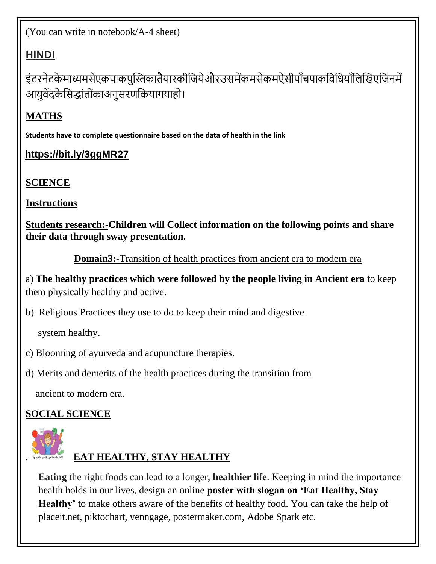(You can write in notebook/A-4 sheet)

## **HINDI**

इंटरनेटके माध्यमसेएकपाकपुस्तिकातैयारकीजियेऔरउसमेंकमसेकमऐसीपाँचपाकविधियाँलिखिएजिनमें आयुर्वेदके सिद्धांतोंका अनुसरणकियागयाहो।

# **MATHS**

**Students have to complete questionnaire based on the data of health in the link**

## **https://bit.ly/3ggMR27**

# **SCIENCE**

**Instructions**

**Students research:-Children will Collect information on the following points and share their data through sway presentation.**

**Domain3:-**Transition of health practices from ancient era to modern era

a) **The healthy practices which were followed by the people living in Ancient era** to keep them physically healthy and active.

b) Religious Practices they use to do to keep their mind and digestive

system healthy.

c) Blooming of ayurveda and acupuncture therapies.

d) Merits and demerits of the health practices during the transition from

ancient to modern era.

# **SOCIAL SCIENCE**



# . **EAT HEALTHY, STAY HEALTHY**

**Eating** the right foods can lead to a longer, **healthier life**. Keeping in mind the importance health holds in our lives, design an online **poster with slogan on 'Eat Healthy, Stay**  Healthy' to make others aware of the benefits of healthy food. You can take the help of placeit.net, piktochart, venngage, postermaker.com, Adobe Spark etc.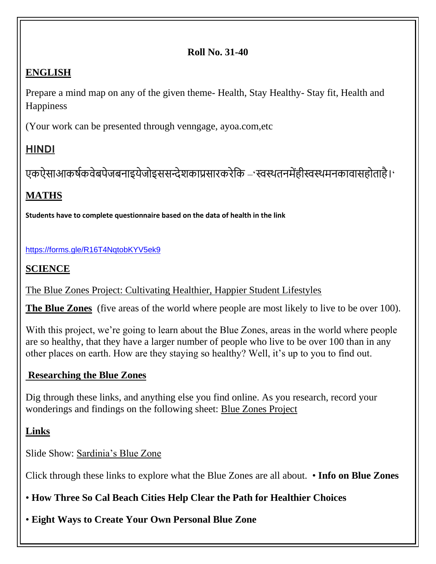#### **Roll No. 31-40**

#### **ENGLISH**

Prepare a mind map on any of the given theme- Health, Stay Healthy- Stay fit, Health and **Happiness** 

(Your work can be presented through venngage, ayoa.com,etc

### **HINDI**

एकऐसाआकर्षकवेबपेजबनाइयेजोइससन्देशकाप्रसारकरेकि –'स्वस्थतनमेंहीस्वस्थमनकावासहोताहै।'

### **MATHS**

**Students have to complete questionnaire based on the data of health in the link**

#### <https://forms.gle/R16T4NqtobKYV5ek9>

### **SCIENCE**

[The Blue Zones Project: Cultivating Healthier, Happier Student Lifestyles](about:blank)

**The Blue Zones** (five areas of the world where people are most likely to live to be over 100).

With this project, we're going to learn about the Blue Zones, areas in the world where people are so healthy, that they have a larger number of people who live to be over 100 than in any other places on earth. How are they staying so healthy? Well, it's up to you to find out.

#### **Researching the Blue Zones**

Dig through these links, and anything else you find online. As you research, record your wonderings and findings on the following sheet: [Blue Zones Project](about:blank)

**Links**

Slide Show: [Sardinia's Blue Zone](about:blank#/barbagia-elder-long-life_41632_600x450.jpg)

Click through these links to explore what the Blue Zones are all about. • **[Info on Blue Zones](about:blank)**

• **[How Three So Cal Beach Cities Help Clear the Path for Healthier Choices](about:blank)**

• **[Eight Ways to Create Your Own Personal Blue Zone](about:blank)**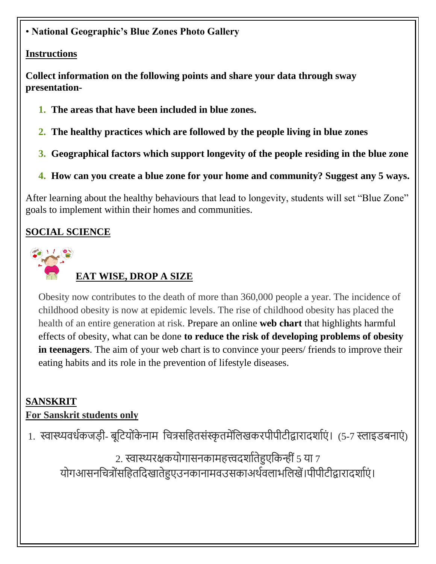### • **[National Geographic's Blue Zones Photo Gallery](about:blank#/barbagia-elder-long-life_41632_600x450.jpg)**

#### **Instructions**

**Collect information on the following points and share your data through sway presentation-**

- **1. The areas that have been included in blue zones.**
- **2. The healthy practices which are followed by the people living in blue zones**
- **3. Geographical factors which support longevity of the people residing in the blue zone**
- **4. How can you create a blue zone for your home and community? Suggest any 5 ways.**

After learning about the healthy behaviours that lead to longevity, students will set "Blue Zone" goals to implement within their homes and communities.

### **SOCIAL SCIENCE**



### **EAT WISE, DROP A SIZE**

Obesity now contributes to the death of more than 360,000 people a year. The incidence of childhood obesity is now at epidemic levels. The rise of childhood obesity has placed the health of an entire generation at risk. Prepare an online **web chart** that highlights harmful effects of obesity, what can be done **to reduce the risk of developing problems of obesity in teenagers**. The aim of your web chart is to convince your peers/ friends to improve their eating habits and its role in the prevention of lifestyle diseases.

#### **SANSKRIT**

#### **For Sanskrit students only**

1. स्वास्थ्यवर्धकजड़ी- बूटियोंकेनाम चित्रसहितसंस्कृतमेंलिखकरपीपीटीद्वारादर्शाएं। (5-7 स्लाइडबनाएं)

2. स्वास्थ्यरक्षकयोगासनकामहत्त्वदर्शातेहुएकिन्हीं 5 या 7 योगआसनचित्रोंसहितदिखातेहुएउनकानामवउसकाअर्थवलाभलिखें।पीपीटीद्वारादर्शाएं।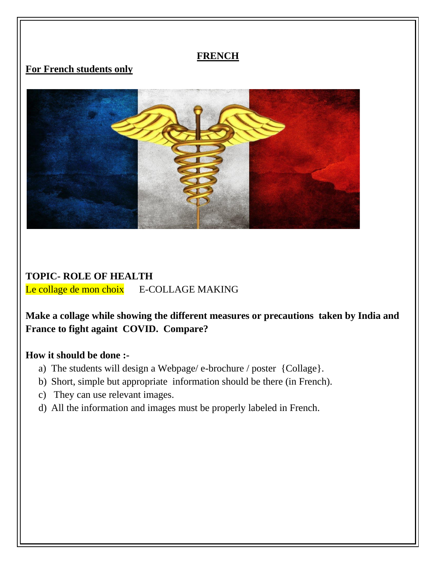#### **FRENCH**

#### **For French students only**



### **TOPIC- ROLE OF HEALTH** Le collage de mon choix E-COLLAGE MAKING

**Make a collage while showing the different measures or precautions taken by India and France to fight againt COVID. Compare?**

#### **How it should be done :-**

- a) The students will design a Webpage/ e-brochure / poster {Collage}.
- b) Short, simple but appropriate information should be there (in French).
- c) They can use relevant images.
- d) All the information and images must be properly labeled in French.